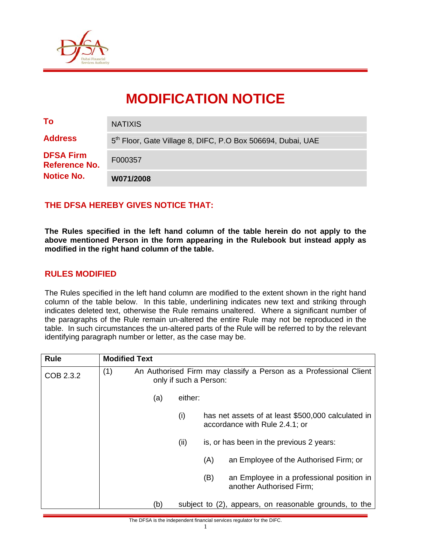

# **MODIFICATION NOTICE**

| To                                                     | <b>NATIXIS</b>                                                          |
|--------------------------------------------------------|-------------------------------------------------------------------------|
| <b>Address</b>                                         | 5 <sup>th</sup> Floor, Gate Village 8, DIFC, P.O Box 506694, Dubai, UAE |
| <b>DFSA Firm</b><br>Reference No.<br><b>Notice No.</b> | F000357                                                                 |
|                                                        | W071/2008                                                               |

### **THE DFSA HEREBY GIVES NOTICE THAT:**

**The Rules specified in the left hand column of the table herein do not apply to the above mentioned Person in the form appearing in the Rulebook but instead apply as modified in the right hand column of the table.** 

#### **RULES MODIFIED**

The Rules specified in the left hand column are modified to the extent shown in the right hand column of the table below. In this table, underlining indicates new text and striking through indicates deleted text, otherwise the Rule remains unaltered. Where a significant number of the paragraphs of the Rule remain un-altered the entire Rule may not be reproduced in the table. In such circumstances the un-altered parts of the Rule will be referred to by the relevant identifying paragraph number or letter, as the case may be.

| <b>Rule</b> | <b>Modified Text</b>                                                                               |
|-------------|----------------------------------------------------------------------------------------------------|
| COB 2.3.2   | (1)<br>An Authorised Firm may classify a Person as a Professional Client<br>only if such a Person: |
|             | either:<br>(a)                                                                                     |
|             | (i)<br>has net assets of at least \$500,000 calculated in<br>accordance with Rule 2.4.1; or        |
|             | (ii)<br>is, or has been in the previous 2 years:                                                   |
|             | an Employee of the Authorised Firm; or<br>(A)                                                      |
|             | (B)<br>an Employee in a professional position in<br>another Authorised Firm;                       |
|             | (b)<br>subject to (2), appears, on reasonable grounds, to the                                      |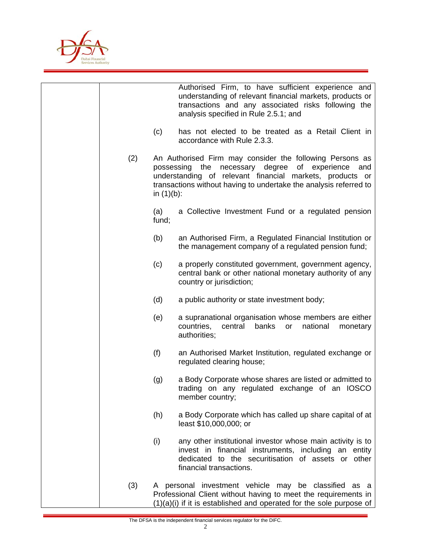

|     |               | Authorised Firm, to have sufficient experience and<br>understanding of relevant financial markets, products or<br>transactions and any associated risks following the<br>analysis specified in Rule 2.5.1; and                                    |
|-----|---------------|---------------------------------------------------------------------------------------------------------------------------------------------------------------------------------------------------------------------------------------------------|
|     | (c)           | has not elected to be treated as a Retail Client in<br>accordance with Rule 2.3.3.                                                                                                                                                                |
| (2) | in $(1)(b)$ : | An Authorised Firm may consider the following Persons as<br>possessing the necessary degree of experience<br>and<br>understanding of relevant financial markets, products or<br>transactions without having to undertake the analysis referred to |
|     | (a)<br>fund;  | a Collective Investment Fund or a regulated pension                                                                                                                                                                                               |
|     | (b)           | an Authorised Firm, a Regulated Financial Institution or<br>the management company of a regulated pension fund;                                                                                                                                   |
|     | (c)           | a properly constituted government, government agency,<br>central bank or other national monetary authority of any<br>country or jurisdiction;                                                                                                     |
|     | (d)           | a public authority or state investment body;                                                                                                                                                                                                      |
|     | (e)           | a supranational organisation whose members are either<br>countries,<br>central<br>banks<br>national<br>monetary<br>or<br>authorities;                                                                                                             |
|     | (f)           | an Authorised Market Institution, regulated exchange or<br>regulated clearing house;                                                                                                                                                              |
|     | (g)           | a Body Corporate whose shares are listed or admitted to<br>trading on any regulated exchange of an IOSCO<br>member country;                                                                                                                       |
|     | (h)           | a Body Corporate which has called up share capital of at<br>least \$10,000,000; or                                                                                                                                                                |
|     | (i)           | any other institutional investor whose main activity is to<br>invest in financial instruments, including an entity<br>dedicated to the securitisation of assets or other<br>financial transactions.                                               |
| (3) |               | A personal investment vehicle may be classified as a<br>Professional Client without having to meet the requirements in<br>$(1)(a)(i)$ if it is established and operated for the sole purpose of                                                   |